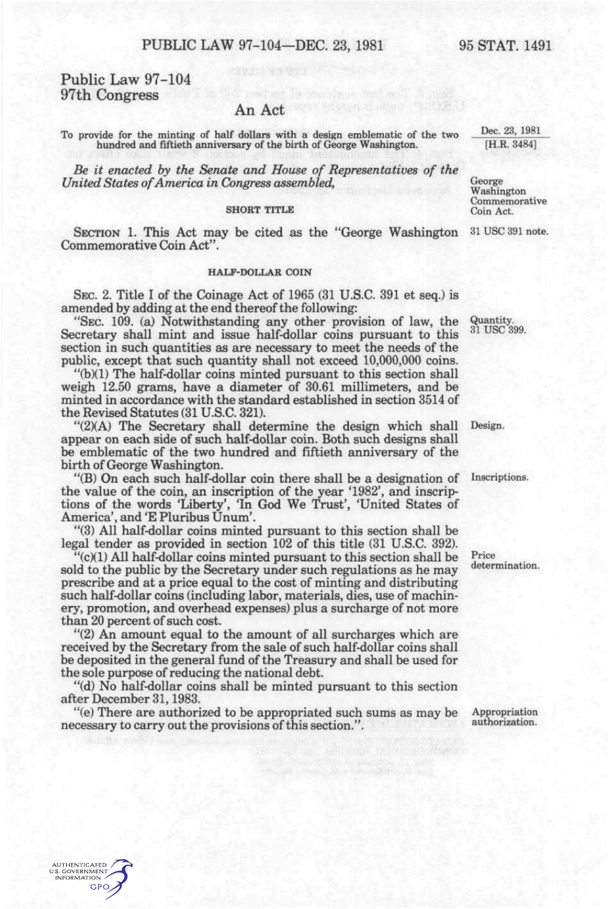# Public Law 97-104 97th Congress

## An Act

To provide for the minting of half dollars with a design emblematic of the two hundred and fiftieth anniversary of the birth of George Washington.

*Be it enacted by the Senate and House of Representatives of the United States of America in Congress assembled,* 

## **SHORT TITLE**

SECTION 1. This Act may be cited as the "George Washington Commemorative Coin Act".

#### **HALF-DOLLAR COIN**

SEC. 2. Title I of the Coinage Act of 1965 (31 U.S.C. 391 et seq.) is amended by adding at the end thereof the following:

"SEC. 109. (a) Notwithstanding any other provision of law, the Secretary shall mint and issue half-dollar coins pursuant to this section in such quantities as are necessary to meet the needs of the public, except that such quantity shall not exceed 10,000,000 coins.

"(b)(1) The half-dollar coins minted pursuant to this section shall weigh 12.50 grams, have a diameter of 30.61 millimeters, and be minted in accordance with the standard established in section 3514 of the Revised Statutes (31 U.S.C. 321).

"(2)(A) The Secretary shall determine the design which shall Design. appear on each side of such half-dollar coin. Both such designs shall be emblematic of the two hundred and fiftieth anniversary of the birth of George Washington.

"(B) On each such half-dollar coin there shall be a designation of the value of the coin, an inscription of the year '1982', and inscriptions of the words 'Liberty', 'In God We Trust', 'United States of America', and 'E Pluribus Unum'.

"(3) All half-dollar coins minted pursuant to this section shall be legal tender as provided in section 102 of this title (31 U.S.C. 392).

"(c)(1) All half-dollar coins minted pursuant to this section shall be sold to the public by the Secretary under such regulations as he may prescribe and at a price equal to the cost of minting and distributing such half-dollar coins (including labor, materials, dies, use of machinery, promotion, and overhead expenses) plus a surcharge of not more than 20 percent of such cost.

"(2) An amount equal to the amount of all surcharges which are received by the Secretary from the sale of such half-dollar coins shall be deposited in the general fund of the Treasury and shall be used for the sole purpose of reducing the national debt.

"(d) No half-dollar coins shall be minted pursuant to this section after December 31,1983.

"(e) There are authorized to be appropriated such sums as may be necessary to carry out the provisions of this section.".

Quantity. 31 USC 399.

Inscriptions.

Price determination.

Dec. 23, 1981 [H.R. 3484]

George Washington Commemorative Coin Act.

31 USC 391 note.

Appropriation authorization.